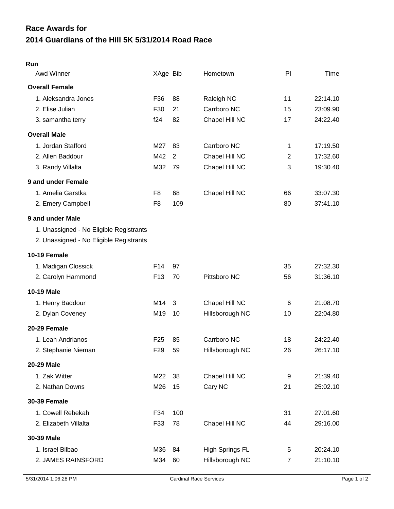## **2014 Guardians of the Hill 5K 5/31/2014 Road Race Race Awards for**

| XAge Bib                                                        |                | Time     |
|-----------------------------------------------------------------|----------------|----------|
| <b>Overall Female</b>                                           |                |          |
| 88<br>1. Aleksandra Jones<br>F36<br>Raleigh NC                  | 11             | 22:14.10 |
| 2. Elise Julian<br>21<br>Carrboro NC<br>F30                     | 15             | 23:09.90 |
| f24<br>82<br>Chapel Hill NC<br>3. samantha terry                | 17             | 24:22.40 |
| <b>Overall Male</b>                                             |                |          |
| 1. Jordan Stafford<br>Carrboro NC<br>M27<br>83                  | 1              | 17:19.50 |
| 2. Allen Baddour<br>Chapel Hill NC<br>M42<br>2                  | $\overline{2}$ | 17:32.60 |
| M32<br>3. Randy Villalta<br>79<br>Chapel Hill NC                | 3              | 19:30.40 |
| 9 and under Female                                              |                |          |
| 1. Amelia Garstka<br>68<br>Chapel Hill NC<br>F <sub>8</sub>     | 66             | 33:07.30 |
| 109<br>2. Emery Campbell<br>F <sub>8</sub>                      | 80             | 37:41.10 |
| 9 and under Male                                                |                |          |
| 1. Unassigned - No Eligible Registrants                         |                |          |
| 2. Unassigned - No Eligible Registrants                         |                |          |
| 10-19 Female                                                    |                |          |
| 1. Madigan Clossick<br>F14<br>97                                | 35             | 27:32.30 |
| 70<br>Pittsboro NC<br>2. Carolyn Hammond<br>F <sub>13</sub>     | 56             | 31:36.10 |
| <b>10-19 Male</b>                                               |                |          |
| Chapel Hill NC<br>1. Henry Baddour<br>M14<br>3                  | 6              | 21:08.70 |
| 2. Dylan Coveney<br>M19<br>10<br>Hillsborough NC                | 10             | 22:04.80 |
| 20-29 Female                                                    |                |          |
| 1. Leah Andrianos<br>F <sub>25</sub><br>Carrboro NC<br>85       | 18             | 24:22.40 |
| F <sub>29</sub><br>59<br>2. Stephanie Nieman<br>Hillsborough NC | 26             | 26:17.10 |
| 20-29 Male                                                      |                |          |
| 1. Zak Witter<br>M22<br>Chapel Hill NC<br>38                    | 9              | 21:39.40 |
| M26<br>15<br>Cary NC<br>2. Nathan Downs                         | 21             | 25:02.10 |
| <b>30-39 Female</b>                                             |                |          |
| 1. Cowell Rebekah<br>F34<br>100                                 | 31             | 27:01.60 |
| 78<br>Chapel Hill NC<br>2. Elizabeth Villalta<br>F33            | 44             | 29:16.00 |
| 30-39 Male                                                      |                |          |
| 1. Israel Bilbao<br><b>High Springs FL</b><br>M36<br>84         | 5              | 20:24.10 |
| 2. JAMES RAINSFORD<br>M34<br>Hillsborough NC<br>60              | $\overline{7}$ | 21:10.10 |